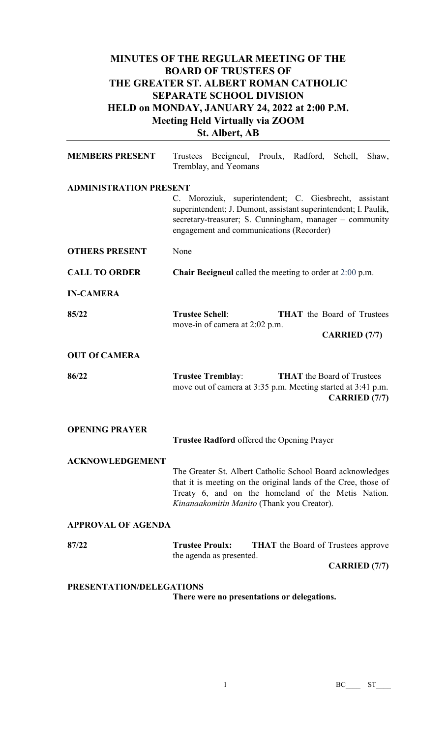# **MINUTES OF THE REGULAR MEETING OF THE BOARD OF TRUSTEES OF THE GREATER ST. ALBERT ROMAN CATHOLIC SEPARATE SCHOOL DIVISION HELD on MONDAY, JANUARY 24, 2022 at 2:00 P.M. Meeting Held Virtually via ZOOM St. Albert, AB**

| <b>MEMBERS PRESENT</b>        | Trustees Becigneul, Proulx, Radford, Schell, Shaw,<br>Tremblay, and Yeomans                                                                                                                                                     |  |  |
|-------------------------------|---------------------------------------------------------------------------------------------------------------------------------------------------------------------------------------------------------------------------------|--|--|
| <b>ADMINISTRATION PRESENT</b> | C. Moroziuk, superintendent; C. Giesbrecht, assistant<br>superintendent; J. Dumont, assistant superintendent; I. Paulik,<br>secretary-treasurer; S. Cunningham, manager - community<br>engagement and communications (Recorder) |  |  |
| <b>OTHERS PRESENT</b>         | None                                                                                                                                                                                                                            |  |  |
| <b>CALL TO ORDER</b>          | <b>Chair Becigneul</b> called the meeting to order at $2:00$ p.m.                                                                                                                                                               |  |  |
| <b>IN-CAMERA</b>              |                                                                                                                                                                                                                                 |  |  |
| 85/22                         | <b>Trustee Schell:</b><br><b>THAT</b> the Board of Trustees<br>move-in of camera at 2:02 p.m.<br><b>CARRIED</b> (7/7)                                                                                                           |  |  |
| <b>OUT Of CAMERA</b>          |                                                                                                                                                                                                                                 |  |  |
| 86/22                         | <b>THAT</b> the Board of Trustees<br><b>Trustee Tremblay:</b><br>move out of camera at 3:35 p.m. Meeting started at 3:41 p.m.<br><b>CARRIED</b> (7/7)                                                                           |  |  |
| <b>OPENING PRAYER</b>         | Trustee Radford offered the Opening Prayer                                                                                                                                                                                      |  |  |
| <b>ACKNOWLEDGEMENT</b>        | The Greater St. Albert Catholic School Board acknowledges<br>that it is meeting on the original lands of the Cree, those of<br>Treaty 6, and on the homeland of the Metis Nation.<br>Kinanaakomitin Manito (Thank you Creator). |  |  |
| <b>APPROVAL OF AGENDA</b>     |                                                                                                                                                                                                                                 |  |  |
| 87/22                         | <b>Trustee Proulx:</b><br><b>THAT</b> the Board of Trustees approve<br>the agenda as presented.<br><b>CARRIED</b> (7/7)                                                                                                         |  |  |
| PRESENTATION/DELEGATIONS      |                                                                                                                                                                                                                                 |  |  |

**There were no presentations or delegations.**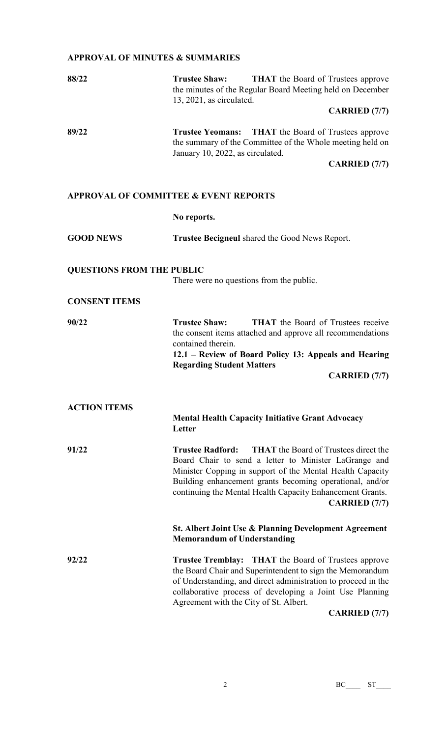## **APPROVAL OF MINUTES & SUMMARIES**

| 88/22                                            | <b>Trustee Shaw:</b><br><b>THAT</b> the Board of Trustees approve<br>the minutes of the Regular Board Meeting held on December<br>13, 2021, as circulated.<br><b>CARRIED</b> (7/7)                                                                                                                                                             |  |  |  |
|--------------------------------------------------|------------------------------------------------------------------------------------------------------------------------------------------------------------------------------------------------------------------------------------------------------------------------------------------------------------------------------------------------|--|--|--|
| 89/22                                            | <b>THAT</b> the Board of Trustees approve<br><b>Trustee Yeomans:</b><br>the summary of the Committee of the Whole meeting held on<br>January 10, 2022, as circulated.<br><b>CARRIED</b> (7/7)                                                                                                                                                  |  |  |  |
| <b>APPROVAL OF COMMITTEE &amp; EVENT REPORTS</b> |                                                                                                                                                                                                                                                                                                                                                |  |  |  |
|                                                  | No reports.                                                                                                                                                                                                                                                                                                                                    |  |  |  |
| <b>GOOD NEWS</b>                                 | Trustee Becigneul shared the Good News Report.                                                                                                                                                                                                                                                                                                 |  |  |  |
| <b>QUESTIONS FROM THE PUBLIC</b>                 | There were no questions from the public.                                                                                                                                                                                                                                                                                                       |  |  |  |
| <b>CONSENT ITEMS</b>                             |                                                                                                                                                                                                                                                                                                                                                |  |  |  |
| 90/22                                            | <b>Trustee Shaw:</b><br><b>THAT</b> the Board of Trustees receive<br>the consent items attached and approve all recommendations<br>contained therein.<br>12.1 – Review of Board Policy 13: Appeals and Hearing<br><b>Regarding Student Matters</b><br><b>CARRIED</b> (7/7)                                                                     |  |  |  |
| <b>ACTION ITEMS</b>                              | <b>Mental Health Capacity Initiative Grant Advocacy</b><br>Letter                                                                                                                                                                                                                                                                              |  |  |  |
| 91/22                                            | <b>THAT</b> the Board of Trustees direct the<br><b>Trustee Radford:</b><br>Board Chair to send a letter to Minister LaGrange and<br>Minister Copping in support of the Mental Health Capacity<br>Building enhancement grants becoming operational, and/or<br>continuing the Mental Health Capacity Enhancement Grants.<br><b>CARRIED</b> (7/7) |  |  |  |
|                                                  | <b>St. Albert Joint Use &amp; Planning Development Agreement</b><br><b>Memorandum of Understanding</b>                                                                                                                                                                                                                                         |  |  |  |
| 92/22                                            | <b>Trustee Tremblay:</b> THAT the Board of Trustees approve<br>the Board Chair and Superintendent to sign the Memorandum<br>of Understanding, and direct administration to proceed in the<br>collaborative process of developing a Joint Use Planning<br>Agreement with the City of St. Albert.<br><b>CARRIED</b> (7/7)                        |  |  |  |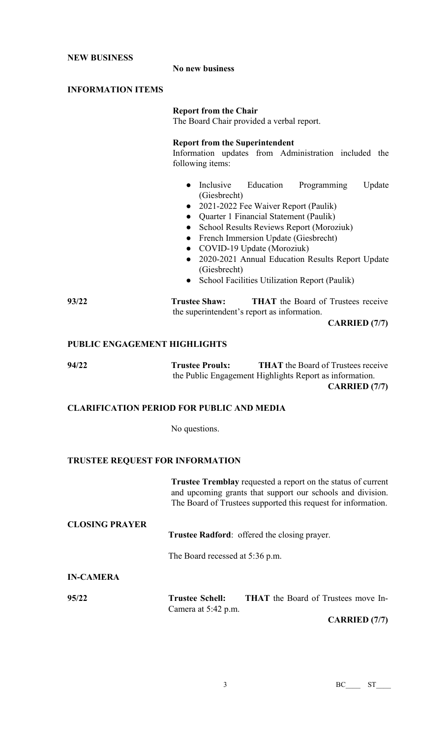**NEW BUSINESS**

#### **No new business**

### **INFORMATION ITEMS**

#### **Report from the Chair**

The Board Chair provided a verbal report.

#### **Report from the Superintendent**

Information updates from Administration included the following items:

- Inclusive Education Programming Update (Giesbrecht)
- 2021-2022 Fee Waiver Report (Paulik)
- Quarter 1 Financial Statement (Paulik)
- School Results Reviews Report (Moroziuk)
- French Immersion Update (Giesbrecht)
- COVID-19 Update (Moroziuk)
- 2020-2021 Annual Education Results Report Update (Giesbrecht)
- School Facilities Utilization Report (Paulik)

**93/22 Trustee Shaw: THAT** the Board of Trustees receive the superintendent's report as information.

**CARRIED (7/7)**

#### **PUBLIC ENGAGEMENT HIGHLIGHTS**

**94/22 Trustee Proulx: THAT** the Board of Trustees receive the Public Engagement Highlights Report as information. **CARRIED (7/7)**

#### **CLARIFICATION PERIOD FOR PUBLIC AND MEDIA**

No questions.

#### **TRUSTEE REQUEST FOR INFORMATION**

**Trustee Tremblay** requested a report on the status of current and upcoming grants that support our schools and division. The Board of Trustees supported this request for information.

**Trustee Radford**: offered the closing prayer.

The Board recessed at 5:36 p.m.

#### **IN-CAMERA**

**CLOSING PRAYER**

**95/22 Trustee Schell: THAT** the Board of Trustees move In-Camera at 5:42 p.m.

**CARRIED (7/7)**